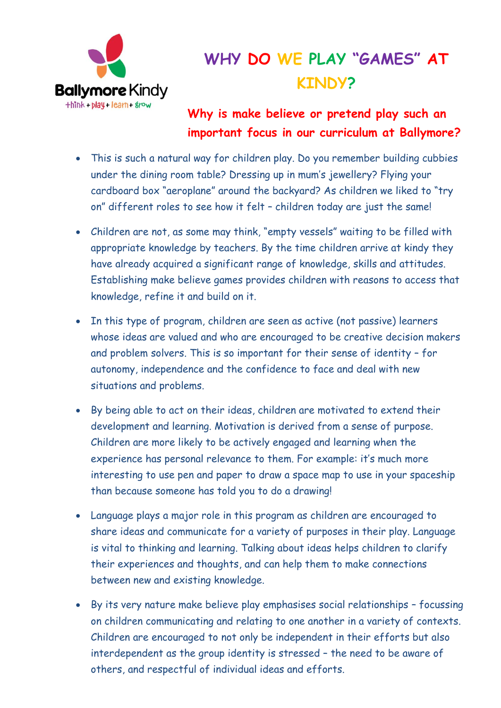

## **WHY DO WE PLAY "GAMES" AT KINDY?**

## **Why is make believe or pretend play such an important focus in our curriculum at Ballymore?**

- This is such a natural way for children play. Do you remember building cubbies under the dining room table? Dressing up in mum's jewellery? Flying your cardboard box "aeroplane" around the backyard? As children we liked to "try on" different roles to see how it felt – children today are just the same!
- Children are not, as some may think, "empty vessels" waiting to be filled with appropriate knowledge by teachers. By the time children arrive at kindy they have already acquired a significant range of knowledge, skills and attitudes. Establishing make believe games provides children with reasons to access that knowledge, refine it and build on it.
- In this type of program, children are seen as active (not passive) learners whose ideas are valued and who are encouraged to be creative decision makers and problem solvers. This is so important for their sense of identity – for autonomy, independence and the confidence to face and deal with new situations and problems.
- By being able to act on their ideas, children are motivated to extend their development and learning. Motivation is derived from a sense of purpose. Children are more likely to be actively engaged and learning when the experience has personal relevance to them. For example: it's much more interesting to use pen and paper to draw a space map to use in your spaceship than because someone has told you to do a drawing!
- Language plays a major role in this program as children are encouraged to share ideas and communicate for a variety of purposes in their play. Language is vital to thinking and learning. Talking about ideas helps children to clarify their experiences and thoughts, and can help them to make connections between new and existing knowledge.
- By its very nature make believe play emphasises social relationships focussing on children communicating and relating to one another in a variety of contexts. Children are encouraged to not only be independent in their efforts but also interdependent as the group identity is stressed – the need to be aware of others, and respectful of individual ideas and efforts.